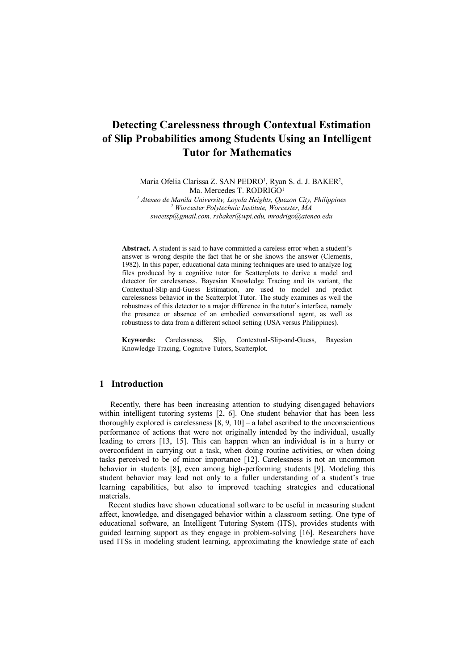# **Detecting Carelessness through Contextual Estimation of Slip Probabilities among Students Using an Intelligent Tutor for Mathematics**

Maria Ofelia Clarissa Z. SAN PEDRO<sup>1</sup>, Ryan S. d. J. BAKER<sup>2</sup>, Ma. Mercedes T. RODRIGO<sup>1</sup> *<sup>1</sup> Ateneo de Manila University, Loyola Heights, Quezon City, Philippines <sup>2</sup> Worcester Polytechnic Institute, Worcester, MA sweetsp@gmail.com, rsbaker@wpi.edu, mrodrigo@ateneo.edu*

**Abstract.** A student is said to have committed a careless error when a student's answer is wrong despite the fact that he or she knows the answer (Clements, 1982). In this paper, educational data mining techniques are used to analyze log files produced by a cognitive tutor for Scatterplots to derive a model and detector for carelessness. Bayesian Knowledge Tracing and its variant, the Contextual-Slip-and-Guess Estimation, are used to model and predict carelessness behavior in the Scatterplot Tutor. The study examines as well the robustness of this detector to a major difference in the tutor's interface, namely the presence or absence of an embodied conversational agent, as well as robustness to data from a different school setting (USA versus Philippines).

**Keywords:** Carelessness, Slip, Contextual-Slip-and-Guess, Bayesian Knowledge Tracing, Cognitive Tutors, Scatterplot.

#### **1 Introduction**

Recently, there has been increasing attention to studying disengaged behaviors within intelligent tutoring systems [2, 6]. One student behavior that has been less thoroughly explored is carelessness  $\overline{8, 9, 10}$  – a label ascribed to the unconscientious performance of actions that were not originally intended by the individual, usually leading to errors [13, 15]. This can happen when an individual is in a hurry or overconfident in carrying out a task, when doing routine activities, or when doing tasks perceived to be of minor importance [12]. Carelessness is not an uncommon behavior in students [8], even among high-performing students [9]. Modeling this student behavior may lead not only to a fuller understanding of a student's true learning capabilities, but also to improved teaching strategies and educational materials.

Recent studies have shown educational software to be useful in measuring student affect, knowledge, and disengaged behavior within a classroom setting. One type of educational software, an Intelligent Tutoring System (ITS), provides students with guided learning support as they engage in problem-solving [16]. Researchers have used ITSs in modeling student learning, approximating the knowledge state of each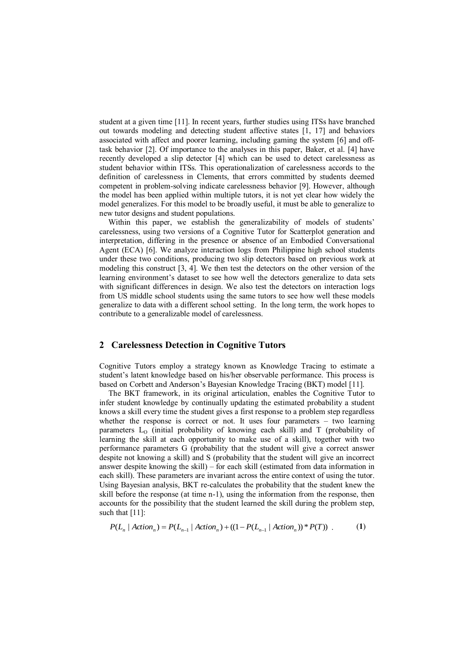student at a given time [11]. In recent years, further studies using ITSs have branched out towards modeling and detecting student affective states [1, 17] and behaviors associated with affect and poorer learning, including gaming the system [6] and offtask behavior [2]. Of importance to the analyses in this paper, Baker, et al. [4] have recently developed a slip detector [4] which can be used to detect carelessness as student behavior within ITSs. This operationalization of carelessness accords to the definition of carelessness in Clements, that errors committed by students deemed competent in problem-solving indicate carelessness behavior [9]. However, although the model has been applied within multiple tutors, it is not yet clear how widely the model generalizes. For this model to be broadly useful, it must be able to generalize to new tutor designs and student populations.

Within this paper, we establish the generalizability of models of students' carelessness, using two versions of a Cognitive Tutor for Scatterplot generation and interpretation, differing in the presence or absence of an Embodied Conversational Agent (ECA) [6]. We analyze interaction logs from Philippine high school students under these two conditions, producing two slip detectors based on previous work at modeling this construct [3, 4]. We then test the detectors on the other version of the learning environment's dataset to see how well the detectors generalize to data sets with significant differences in design. We also test the detectors on interaction logs from US middle school students using the same tutors to see how well these models generalize to data with a different school setting. In the long term, the work hopes to contribute to a generalizable model of carelessness.

#### **2 Carelessness Detection in Cognitive Tutors**

Cognitive Tutors employ a strategy known as Knowledge Tracing to estimate a student's latent knowledge based on his/her observable performance. This process is based on Corbett and Anderson's Bayesian Knowledge Tracing (BKT) model [11].

The BKT framework, in its original articulation, enables the Cognitive Tutor to infer student knowledge by continually updating the estimated probability a student knows a skill every time the student gives a first response to a problem step regardless whether the response is correct or not. It uses four parameters – two learning parameters L<sub>O</sub> (initial probability of knowing each skill) and T (probability of learning the skill at each opportunity to make use of a skill), together with two performance parameters G (probability that the student will give a correct answer despite not knowing a skill) and S (probability that the student will give an incorrect answer despite knowing the skill) – for each skill (estimated from data information in each skill). These parameters are invariant across the entire context of using the tutor. Using Bayesian analysis, BKT re-calculates the probability that the student knew the skill before the response (at time n-1), using the information from the response, then accounts for the possibility that the student learned the skill during the problem step, such that [11]:

$$
P(L_n | Action_n) = P(L_{n-1} | Action_n) + ((1 - P(L_{n-1} | Action_n)) * P(T)).
$$
 (1)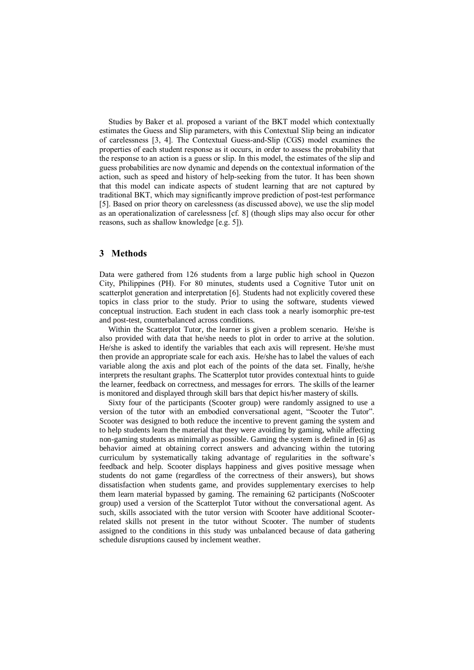Studies by Baker et al. proposed a variant of the BKT model which contextually estimates the Guess and Slip parameters, with this Contextual Slip being an indicator of carelessness [3, 4]. The Contextual Guess-and-Slip (CGS) model examines the properties of each student response as it occurs, in order to assess the probability that the response to an action is a guess or slip. In this model, the estimates of the slip and guess probabilities are now dynamic and depends on the contextual information of the action, such as speed and history of help-seeking from the tutor. It has been shown that this model can indicate aspects of student learning that are not captured by traditional BKT, which may significantly improve prediction of post-test performance [5]. Based on prior theory on carelessness (as discussed above), we use the slip model as an operationalization of carelessness [cf. 8] (though slips may also occur for other reasons, such as shallow knowledge [e.g. 5]).

#### **3 Methods**

Data were gathered from 126 students from a large public high school in Quezon City, Philippines (PH). For 80 minutes, students used a Cognitive Tutor unit on scatterplot generation and interpretation [6]. Students had not explicitly covered these topics in class prior to the study. Prior to using the software, students viewed conceptual instruction. Each student in each class took a nearly isomorphic pre-test and post-test, counterbalanced across conditions.

Within the Scatterplot Tutor, the learner is given a problem scenario. He/she is also provided with data that he/she needs to plot in order to arrive at the solution. He/she is asked to identify the variables that each axis will represent. He/she must then provide an appropriate scale for each axis. He/she has to label the values of each variable along the axis and plot each of the points of the data set. Finally, he/she interprets the resultant graphs. The Scatterplot tutor provides contextual hints to guide the learner, feedback on correctness, and messages for errors. The skills of the learner is monitored and displayed through skill bars that depict his/her mastery of skills.

Sixty four of the participants (Scooter group) were randomly assigned to use a version of the tutor with an embodied conversational agent, "Scooter the Tutor". Scooter was designed to both reduce the incentive to prevent gaming the system and to help students learn the material that they were avoiding by gaming, while affecting non-gaming students as minimally as possible. Gaming the system is defined in [6] as behavior aimed at obtaining correct answers and advancing within the tutoring curriculum by systematically taking advantage of regularities in the software's feedback and help. Scooter displays happiness and gives positive message when students do not game (regardless of the correctness of their answers), but shows dissatisfaction when students game, and provides supplementary exercises to help them learn material bypassed by gaming. The remaining 62 participants (NoScooter group) used a version of the Scatterplot Tutor without the conversational agent. As such, skills associated with the tutor version with Scooter have additional Scooterrelated skills not present in the tutor without Scooter. The number of students assigned to the conditions in this study was unbalanced because of data gathering schedule disruptions caused by inclement weather.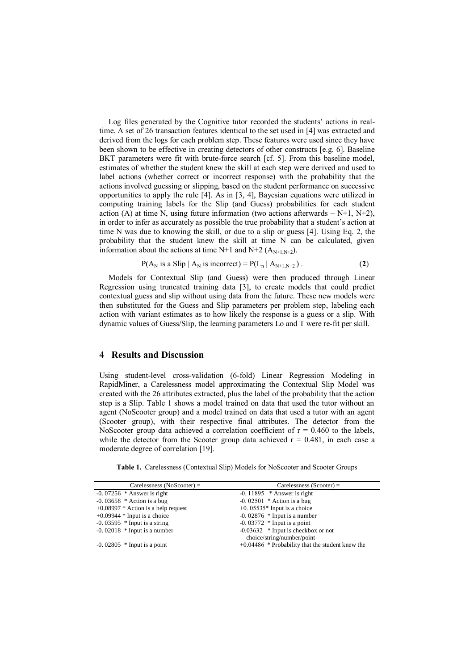Log files generated by the Cognitive tutor recorded the students' actions in realtime. A set of 26 transaction features identical to the set used in [4] was extracted and derived from the logs for each problem step. These features were used since they have been shown to be effective in creating detectors of other constructs [e.g. 6]. Baseline BKT parameters were fit with brute-force search [cf. 5]. From this baseline model, estimates of whether the student knew the skill at each step were derived and used to label actions (whether correct or incorrect response) with the probability that the actions involved guessing or slipping, based on the student performance on successive opportunities to apply the rule [4]. As in [3, 4], Bayesian equations were utilized in computing training labels for the Slip (and Guess) probabilities for each student action (A) at time N, using future information (two actions afterwards  $- N+1$ ,  $N+2$ ), in order to infer as accurately as possible the true probability that a student's action at time N was due to knowing the skill, or due to a slip or guess [4]. Using Eq. 2, the probability that the student knew the skill at time N can be calculated, given information about the actions at time N+1 and N+2 ( $A_{N+1,N+2}$ ).

$$
P(A_N \text{ is a Slip} \mid A_N \text{ is incorrect}) = P(L_n \mid A_{N+1,N+2}). \tag{2}
$$

Models for Contextual Slip (and Guess) were then produced through Linear Regression using truncated training data [3], to create models that could predict contextual guess and slip without using data from the future. These new models were then substituted for the Guess and Slip parameters per problem step, labeling each action with variant estimates as to how likely the response is a guess or a slip. With dynamic values of Guess/Slip, the learning parameters Lo and T were re-fit per skill.

#### **4 Results and Discussion**

Using student-level cross-validation (6-fold) Linear Regression Modeling in RapidMiner, a Carelessness model approximating the Contextual Slip Model was created with the 26 attributes extracted, plus the label of the probability that the action step is a Slip. Table 1 shows a model trained on data that used the tutor without an agent (NoScooter group) and a model trained on data that used a tutor with an agent (Scooter group), with their respective final attributes. The detector from the NoScooter group data achieved a correlation coefficient of  $r = 0.460$  to the labels, while the detector from the Scooter group data achieved  $r = 0.481$ , in each case a moderate degree of correlation [19].

**Table 1.** Carelessness (Contextual Slip) Models for NoScooter and Scooter Groups

| Carelessness (NoScooter) $=$          | Carelessness $(Scooter) =$                         |
|---------------------------------------|----------------------------------------------------|
| $-0.07256$ * Answer is right          | $-0.11895$ * Answer is right                       |
| $-0.03658$ * Action is a bug          | $-0.02501$ * Action is a bug                       |
| $+0.08997$ * Action is a help request | $+0.05535*$ Input is a choice                      |
| $+0.09944$ * Input is a choice        | $-0.02876$ * Input is a number                     |
| $-0.03595$ * Input is a string        | $-0.03772$ * Input is a point                      |
| $-0.02018$ * Input is a number        | $-0.03632$ * Input is checkbox or not              |
|                                       | choice/string/number/point                         |
| $-0.02805$ * Input is a point         | $+0.04486$ * Probability that the student knew the |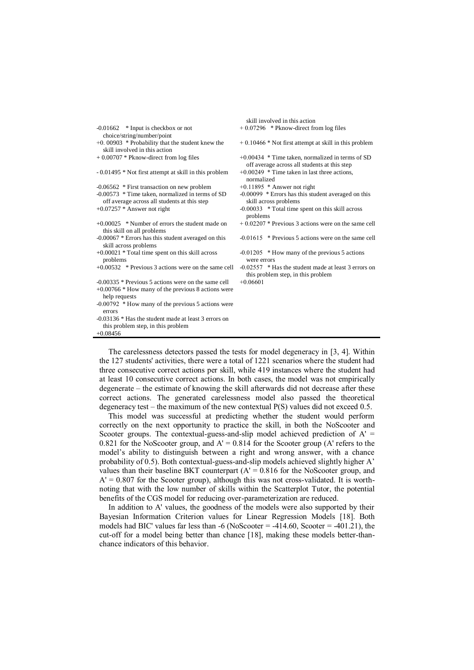|                                                                                                  | skill involved in this action                                                                      |
|--------------------------------------------------------------------------------------------------|----------------------------------------------------------------------------------------------------|
| $-0.01662$ * Input is checkbox or not<br>choice/string/number/point                              | $+0.07296$ * Pknow-direct from log files                                                           |
| +0.00903 * Probability that the student knew the<br>skill involved in this action                | $+0.10466 *$ Not first attempt at skill in this problem                                            |
| $+0.00707$ * Pknow-direct from log files                                                         | $+0.00434$ * Time taken, normalized in terms of SD<br>off average across all students at this step |
| - 0.01495 * Not first attempt at skill in this problem                                           | $+0.00249$ * Time taken in last three actions.<br>normalized                                       |
| $-0.06562$ * First transaction on new problem                                                    | $+0.11895$ * Answer not right                                                                      |
| -0.00573 * Time taken, normalized in terms of SD<br>off average across all students at this step | -0.00099 * Errors has this student averaged on this<br>skill across problems                       |
| $+0.07257$ * Answer not right                                                                    | $-0.00033$ * Total time spent on this skill across<br>problems                                     |
| $+0.00025$ * Number of errors the student made on<br>this skill on all problems                  | $+0.02207$ * Previous 3 actions were on the same cell                                              |
| -0.00067 * Errors has this student averaged on this<br>skill across problems                     | $-0.01615$ * Previous 5 actions were on the same cell                                              |
| $+0.00021$ * Total time spent on this skill across<br>problems                                   | $-0.01205$ * How many of the previous 5 actions<br>were errors                                     |
| $+0.00532$ * Previous 3 actions were on the same cell                                            | $-0.02557$ * Has the student made at least 3 errors on<br>this problem step, in this problem       |
| $-0.00335 *$ Previous 5 actions were on the same cell                                            | $+0.06601$                                                                                         |
| $+0.00766$ * How many of the previous 8 actions were<br>help requests                            |                                                                                                    |
| $-0.00792$ * How many of the previous 5 actions were<br>errors                                   |                                                                                                    |
| -0.03136 * Has the student made at least 3 errors on                                             |                                                                                                    |
| this problem step, in this problem                                                               |                                                                                                    |
| $+0.08456$                                                                                       |                                                                                                    |
|                                                                                                  |                                                                                                    |

The carelessness detectors passed the tests for model degeneracy in [3, 4]. Within the 127 students' activities, there were a total of 1221 scenarios where the student had three consecutive correct actions per skill, while 419 instances where the student had at least 10 consecutive correct actions. In both cases, the model was not empirically degenerate – the estimate of knowing the skill afterwards did not decrease after these correct actions. The generated carelessness model also passed the theoretical degeneracy test – the maximum of the new contextual  $P(S)$  values did not exceed 0.5.

This model was successful at predicting whether the student would perform correctly on the next opportunity to practice the skill, in both the NoScooter and Scooter groups. The contextual-guess-and-slip model achieved prediction of  $A' =$ 0.821 for the NoScooter group, and  $A' = 0.814$  for the Scooter group (A' refers to the model's ability to distinguish between a right and wrong answer, with a chance probability of 0.5). Both contextual-guess-and-slip models achieved slightly higher A' values than their baseline BKT counterpart  $(A' = 0.816$  for the NoScooter group, and  $A' = 0.807$  for the Scooter group), although this was not cross-validated. It is worthnoting that with the low number of skills within the Scatterplot Tutor, the potential benefits of the CGS model for reducing over-parameterization are reduced.

In addition to A' values, the goodness of the models were also supported by their Bayesian Information Criterion values for Linear Regression Models [18]. Both models had BIC' values far less than -6 (NoScooter = -414.60, Scooter = -401.21), the cut-off for a model being better than chance [18], making these models better-thanchance indicators of this behavior.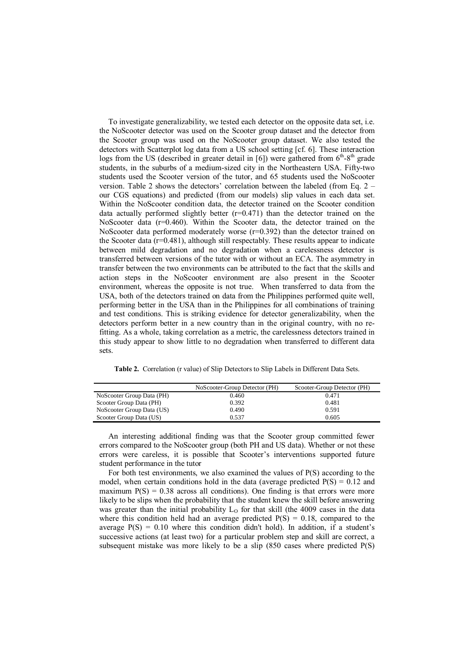To investigate generalizability, we tested each detector on the opposite data set, i.e. the NoScooter detector was used on the Scooter group dataset and the detector from the Scooter group was used on the NoScooter group dataset. We also tested the detectors with Scatterplot log data from a US school setting [cf. 6]. These interaction logs from the US (described in greater detail in [6]) were gathered from  $6<sup>th</sup>-8<sup>th</sup>$  grade students, in the suburbs of a medium-sized city in the Northeastern USA. Fifty-two students used the Scooter version of the tutor, and 65 students used the NoScooter version. Table 2 shows the detectors' correlation between the labeled (from Eq.  $2$ our CGS equations) and predicted (from our models) slip values in each data set. Within the NoScooter condition data, the detector trained on the Scooter condition data actually performed slightly better  $(r=0.471)$  than the detector trained on the NoScooter data (r=0.460). Within the Scooter data, the detector trained on the NoScooter data performed moderately worse  $(r=0.392)$  than the detector trained on the Scooter data  $(r=0.481)$ , although still respectably. These results appear to indicate between mild degradation and no degradation when a carelessness detector is transferred between versions of the tutor with or without an ECA. The asymmetry in transfer between the two environments can be attributed to the fact that the skills and action steps in the NoScooter environment are also present in the Scooter environment, whereas the opposite is not true. When transferred to data from the USA, both of the detectors trained on data from the Philippines performed quite well, performing better in the USA than in the Philippines for all combinations of training and test conditions. This is striking evidence for detector generalizability, when the detectors perform better in a new country than in the original country, with no refitting. As a whole, taking correlation as a metric, the carelessness detectors trained in this study appear to show little to no degradation when transferred to different data sets.

**Table 2.** Correlation (r value) of Slip Detectors to Slip Labels in Different Data Sets.

|                           | NoScooter-Group Detector (PH) | Scooter-Group Detector (PH) |
|---------------------------|-------------------------------|-----------------------------|
| NoScooter Group Data (PH) | 0.460                         | 0.471                       |
| Scooter Group Data (PH)   | 0.392                         | 0.481                       |
| NoScooter Group Data (US) | 0.490                         | 0.591                       |
| Scooter Group Data (US)   | 0.537                         | 0.605                       |

An interesting additional finding was that the Scooter group committed fewer errors compared to the NoScooter group (both PH and US data). Whether or not these errors were careless, it is possible that Scooter's interventions supported future student performance in the tutor

For both test environments, we also examined the values of P(S) according to the model, when certain conditions hold in the data (average predicted  $P(S) = 0.12$  and maximum  $P(S) = 0.38$  across all conditions). One finding is that errors were more likely to be slips when the probability that the student knew the skill before answering was greater than the initial probability  $L<sub>0</sub>$  for that skill (the 4009 cases in the data where this condition held had an average predicted  $P(S) = 0.18$ , compared to the average  $P(S) = 0.10$  where this condition didn't hold). In addition, if a student's successive actions (at least two) for a particular problem step and skill are correct, a subsequent mistake was more likely to be a slip (850 cases where predicted P(S)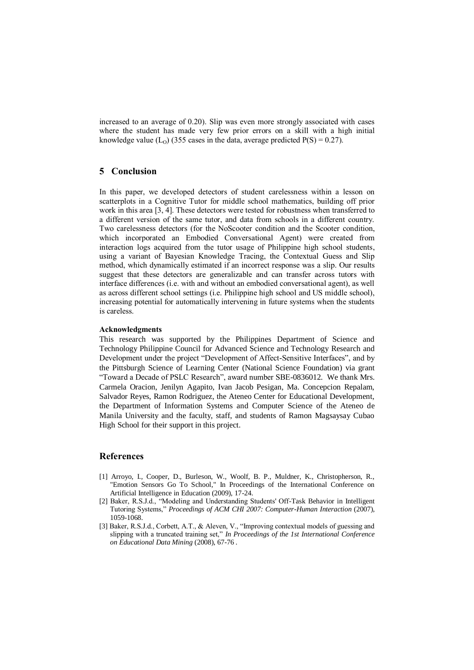increased to an average of 0.20). Slip was even more strongly associated with cases where the student has made very few prior errors on a skill with a high initial knowledge value  $(L<sub>0</sub>)$  (355 cases in the data, average predicted  $P(S) = 0.27$ ).

## **5 Conclusion**

In this paper, we developed detectors of student carelessness within a lesson on scatterplots in a Cognitive Tutor for middle school mathematics, building off prior work in this area [3, 4]. These detectors were tested for robustness when transferred to a different version of the same tutor, and data from schools in a different country. Two carelessness detectors (for the NoScooter condition and the Scooter condition, which incorporated an Embodied Conversational Agent) were created from interaction logs acquired from the tutor usage of Philippine high school students, using a variant of Bayesian Knowledge Tracing, the Contextual Guess and Slip method, which dynamically estimated if an incorrect response was a slip. Our results suggest that these detectors are generalizable and can transfer across tutors with interface differences (i.e. with and without an embodied conversational agent), as well as across different school settings (i.e. Philippine high school and US middle school), increasing potential for automatically intervening in future systems when the students is careless.

#### **Acknowledgments**

This research was supported by the Philippines Department of Science and Technology Philippine Council for Advanced Science and Technology Research and Development under the project "Development of Affect-Sensitive Interfaces", and by the Pittsburgh Science of Learning Center (National Science Foundation) via grant "Toward a Decade of PSLC Research", award number SBE-0836012. We thank Mrs. Carmela Oracion, Jenilyn Agapito, Ivan Jacob Pesigan, Ma. Concepcion Repalam, Salvador Reyes, Ramon Rodriguez, the Ateneo Center for Educational Development, the Department of Information Systems and Computer Science of the Ateneo de Manila University and the faculty, staff, and students of Ramon Magsaysay Cubao High School for their support in this project.

### **References**

- [1] Arroyo, I., Cooper, D., Burleson, W., Woolf, B. P., Muldner, K., Christopherson, R., "Emotion Sensors Go To School," In Proceedings of the International Conference on Artificial Intelligence in Education (2009), 17-24.
- [2] Baker, R.S.J.d., "Modeling and Understanding Students' Off-Task Behavior in Intelligent Tutoring Systems," *Proceedings of ACM CHI 2007: Computer-Human Interaction* (2007), 1059-1068.
- [3] Baker, R.S.J.d., Corbett, A.T., & Aleven, V., "Improving contextual models of guessing and slipping with a truncated training set," *In Proceedings of the 1st International Conference on Educational Data Mining* (2008), 67-76 .